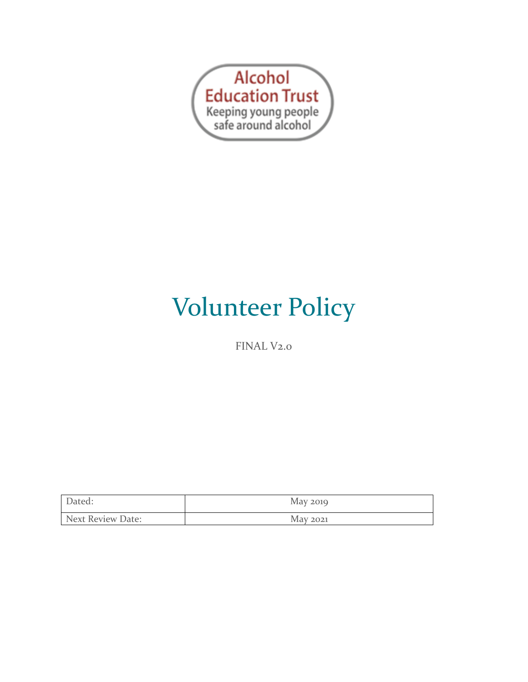

# Volunteer Policy

FINAL V<sub>2.0</sub>

| Dated:            | May 2019 |
|-------------------|----------|
| Next Review Date: | May 2021 |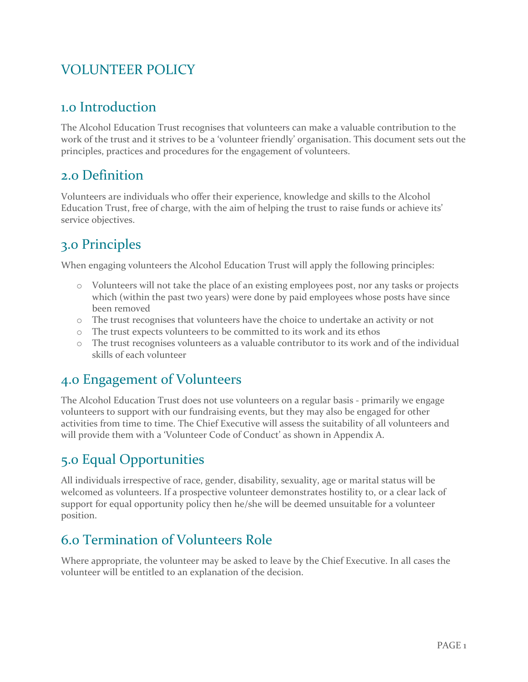# VOLUNTEER POLICY

#### 1.0 Introduction

The Alcohol Education Trust recognises that volunteers can make a valuable contribution to the work of the trust and it strives to be a 'volunteer friendly' organisation. This document sets out the principles, practices and procedures for the engagement of volunteers.

#### 2.0 Definition

Volunteers are individuals who offer their experience, knowledge and skills to the Alcohol Education Trust, free of charge, with the aim of helping the trust to raise funds 0r achieve its' service objectives.

# 3.0 Principles

When engaging volunteers the Alcohol Education Trust will apply the following principles:

- o Volunteers will not take the place of an existing employees post, nor any tasks or projects which (within the past two years) were done by paid employees whose posts have since been removed
- o The trust recognises that volunteers have the choice to undertake an activity or not
- o The trust expects volunteers to be committed to its work and its ethos
- o The trust recognises volunteers as a valuable contributor to its work and of the individual skills of each volunteer

# 4.0 Engagement of Volunteers

The Alcohol Education Trust does not use volunteers on a regular basis - primarily we engage volunteers to support with our fundraising events, but they may also be engaged for other activities from time to time. The Chief Executive will assess the suitability of all volunteers and will provide them with a 'Volunteer Code of Conduct' as shown in Appendix A.

#### 5.0 Equal Opportunities

All individuals irrespective of race, gender, disability, sexuality, age or marital status will be welcomed as volunteers. If a prospective volunteer demonstrates hostility to, or a clear lack of support for equal opportunity policy then he/she will be deemed unsuitable for a volunteer position.

#### 6.0 Termination of Volunteers Role

Where appropriate, the volunteer may be asked to leave by the Chief Executive. In all cases the volunteer will be entitled to an explanation of the decision.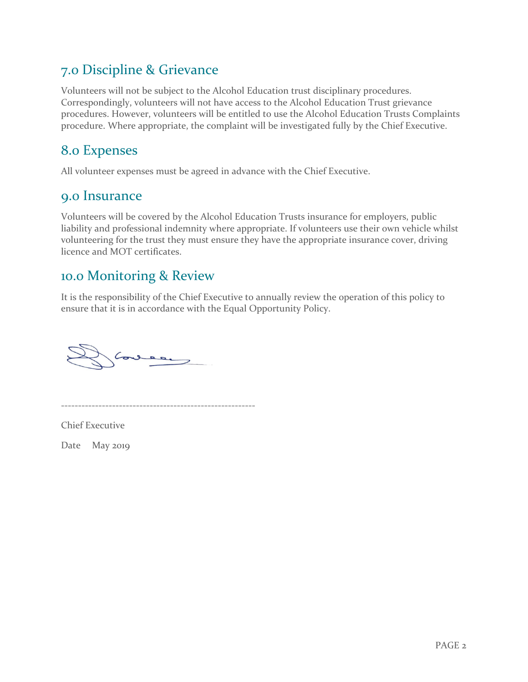#### 7.0 Discipline & Grievance

Volunteers will not be subject to the Alcohol Education trust disciplinary procedures. Correspondingly, volunteers will not have access to the Alcohol Education Trust grievance procedures. However, volunteers will be entitled to use the Alcohol Education Trusts Complaints procedure. Where appropriate, the complaint will be investigated fully by the Chief Executive.

#### 8.0 Expenses

All volunteer expenses must be agreed in advance with the Chief Executive.

#### 9.0 Insurance

Volunteers will be covered by the Alcohol Education Trusts insurance for employers, public liability and professional indemnity where appropriate. If volunteers use their own vehicle whilst volunteering for the trust they must ensure they have the appropriate insurance cover, driving licence and MOT certificates.

#### 10.0 Monitoring & Review

It is the responsibility of the Chief Executive to annually review the operation of this policy to ensure that it is in accordance with the Equal Opportunity Policy.

Cone  $\begin{picture}(120,20) \put(0,0){\line(1,0){10}} \put(15,0){\line(1,0){10}} \put(15,0){\line(1,0){10}} \put(15,0){\line(1,0){10}} \put(15,0){\line(1,0){10}} \put(15,0){\line(1,0){10}} \put(15,0){\line(1,0){10}} \put(15,0){\line(1,0){10}} \put(15,0){\line(1,0){10}} \put(15,0){\line(1,0){10}} \put(15,0){\line(1,0){10}} \put(15,0){\line($ 

---------------------------------------------------------

Chief Executive

Date May 2019